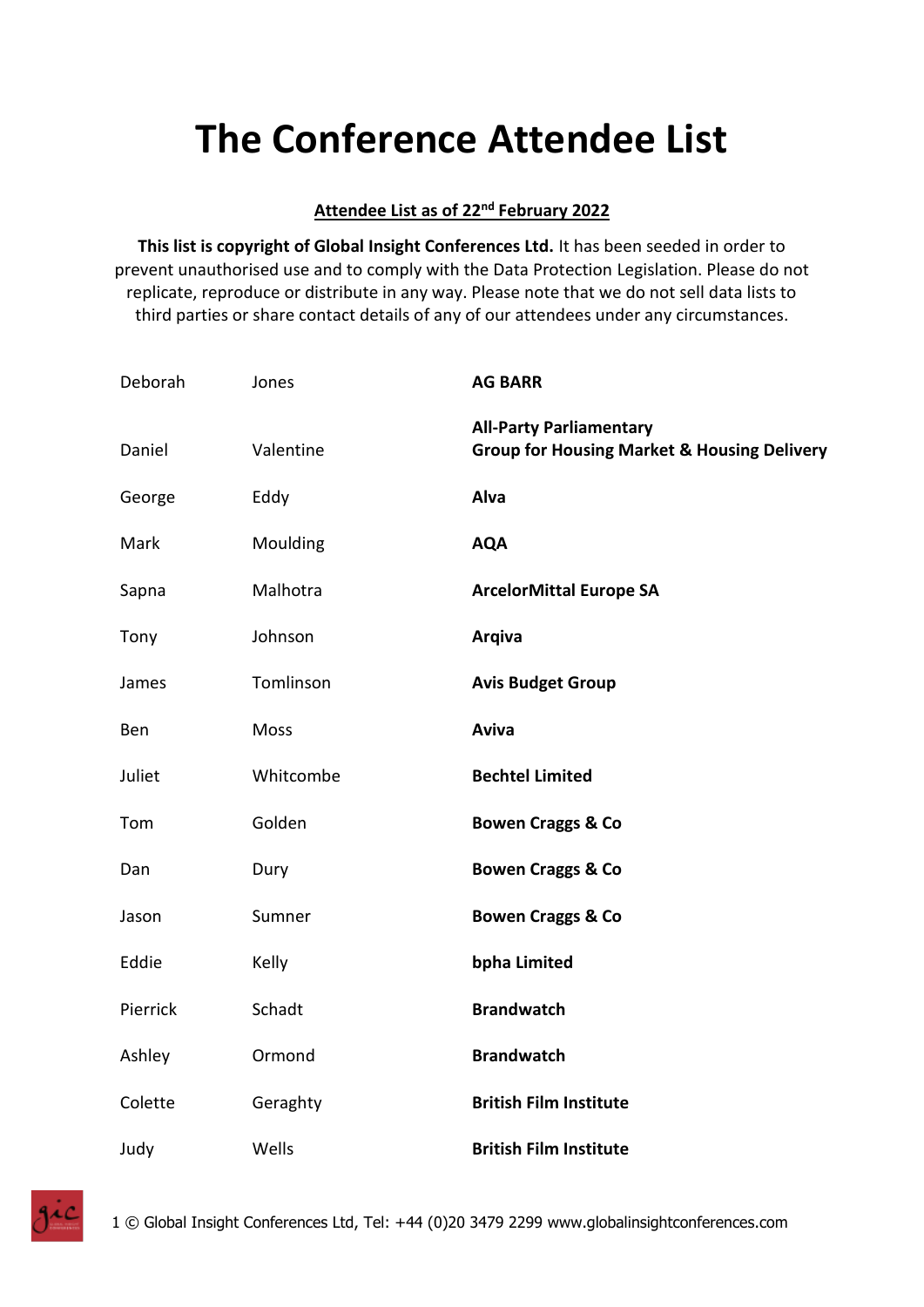## **The Conference Attendee List**

## **Attendee List as of 22nd February 2022**

**This list is copyright of Global Insight Conferences Ltd.** It has been seeded in order to prevent unauthorised use and to comply with the Data Protection Legislation. Please do not replicate, reproduce or distribute in any way. Please note that we do not sell data lists to third parties or share contact details of any of our attendees under any circumstances.

| Deborah  | Jones     | <b>AG BARR</b>                                                                           |
|----------|-----------|------------------------------------------------------------------------------------------|
| Daniel   | Valentine | <b>All-Party Parliamentary</b><br><b>Group for Housing Market &amp; Housing Delivery</b> |
| George   | Eddy      | Alva                                                                                     |
| Mark     | Moulding  | <b>AQA</b>                                                                               |
| Sapna    | Malhotra  | <b>ArcelorMittal Europe SA</b>                                                           |
| Tony     | Johnson   | <b>Arqiva</b>                                                                            |
| James    | Tomlinson | <b>Avis Budget Group</b>                                                                 |
| Ben      | Moss      | Aviva                                                                                    |
| Juliet   | Whitcombe | <b>Bechtel Limited</b>                                                                   |
| Tom      | Golden    | <b>Bowen Craggs &amp; Co</b>                                                             |
| Dan      | Dury      | <b>Bowen Craggs &amp; Co</b>                                                             |
| Jason    | Sumner    | <b>Bowen Craggs &amp; Co</b>                                                             |
| Eddie    | Kelly     | bpha Limited                                                                             |
| Pierrick | Schadt    | <b>Brandwatch</b>                                                                        |
| Ashley   | Ormond    | <b>Brandwatch</b>                                                                        |
| Colette  | Geraghty  | <b>British Film Institute</b>                                                            |
| Judy     | Wells     | <b>British Film Institute</b>                                                            |

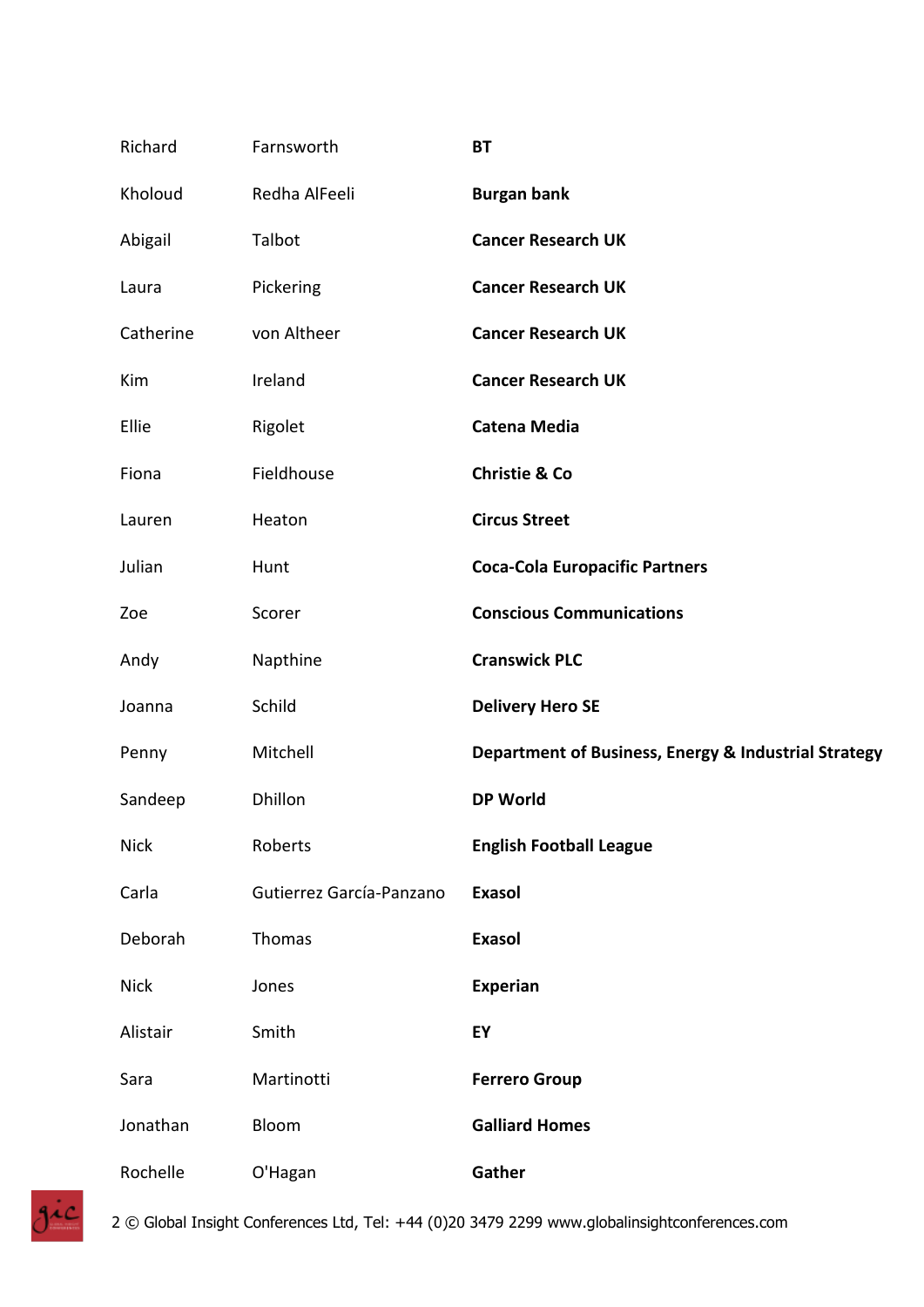| Richard     | Farnsworth               | <b>BT</b>                                            |
|-------------|--------------------------|------------------------------------------------------|
| Kholoud     | Redha AlFeeli            | <b>Burgan bank</b>                                   |
| Abigail     | Talbot                   | <b>Cancer Research UK</b>                            |
| Laura       | Pickering                | <b>Cancer Research UK</b>                            |
| Catherine   | von Altheer              | <b>Cancer Research UK</b>                            |
| Kim         | Ireland                  | <b>Cancer Research UK</b>                            |
| Ellie       | Rigolet                  | <b>Catena Media</b>                                  |
| Fiona       | Fieldhouse               | <b>Christie &amp; Co</b>                             |
| Lauren      | Heaton                   | <b>Circus Street</b>                                 |
| Julian      | Hunt                     | <b>Coca-Cola Europacific Partners</b>                |
| Zoe         | Scorer                   | <b>Conscious Communications</b>                      |
| Andy        | Napthine                 | <b>Cranswick PLC</b>                                 |
| Joanna      | Schild                   | <b>Delivery Hero SE</b>                              |
| Penny       | Mitchell                 | Department of Business, Energy & Industrial Strategy |
| Sandeep     | Dhillon                  | <b>DP World</b>                                      |
| <b>Nick</b> | Roberts                  | <b>English Football League</b>                       |
| Carla       | Gutierrez García-Panzano | <b>Exasol</b>                                        |
| Deborah     | Thomas                   | <b>Exasol</b>                                        |
| <b>Nick</b> | Jones                    | Experian                                             |
| Alistair    | Smith                    | EY                                                   |
| Sara        | Martinotti               | <b>Ferrero Group</b>                                 |
| Jonathan    | Bloom                    | <b>Galliard Homes</b>                                |
| Rochelle    | O'Hagan                  | Gather                                               |

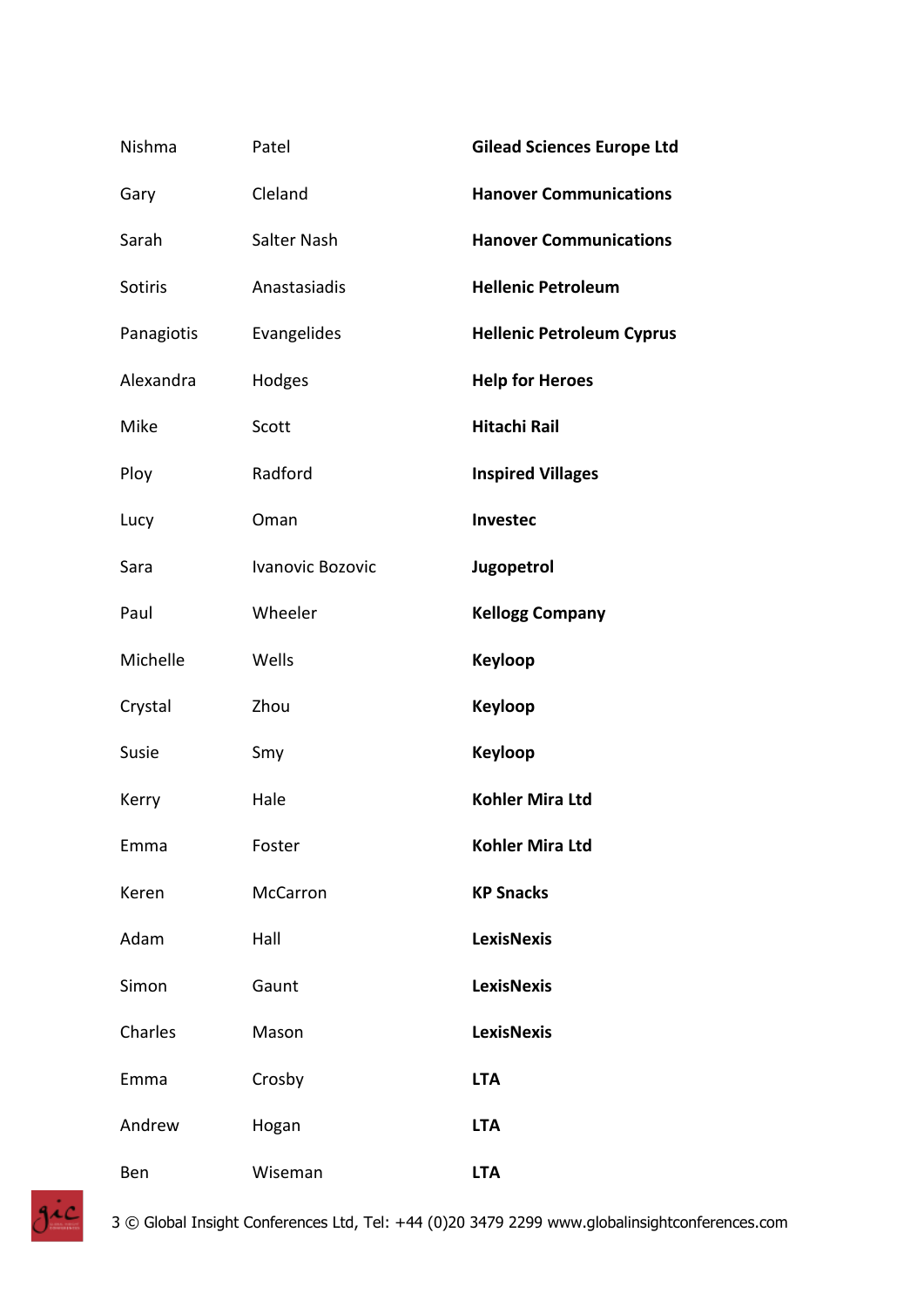| Nishma         | Patel            | <b>Gilead Sciences Europe Ltd</b> |
|----------------|------------------|-----------------------------------|
| Gary           | Cleland          | <b>Hanover Communications</b>     |
| Sarah          | Salter Nash      | <b>Hanover Communications</b>     |
| <b>Sotiris</b> | Anastasiadis     | <b>Hellenic Petroleum</b>         |
| Panagiotis     | Evangelides      | <b>Hellenic Petroleum Cyprus</b>  |
| Alexandra      | Hodges           | <b>Help for Heroes</b>            |
| Mike           | Scott            | <b>Hitachi Rail</b>               |
| Ploy           | Radford          | <b>Inspired Villages</b>          |
| Lucy           | Oman             | Investec                          |
| Sara           | Ivanovic Bozovic | Jugopetrol                        |
| Paul           | Wheeler          | <b>Kellogg Company</b>            |
| Michelle       | Wells            | <b>Keyloop</b>                    |
| Crystal        | Zhou             | Keyloop                           |
| Susie          | Smy              | Keyloop                           |
| Kerry          | Hale             | <b>Kohler Mira Ltd</b>            |
| Emma           | Foster           | <b>Kohler Mira Ltd</b>            |
| Keren          | <b>McCarron</b>  | <b>KP Snacks</b>                  |
| Adam           | Hall             | <b>LexisNexis</b>                 |
| Simon          | Gaunt            | <b>LexisNexis</b>                 |
| Charles        | Mason            | <b>LexisNexis</b>                 |
| Emma           | Crosby           | <b>LTA</b>                        |
| Andrew         | Hogan            | <b>LTA</b>                        |
| Ben            | Wiseman          | <b>LTA</b>                        |

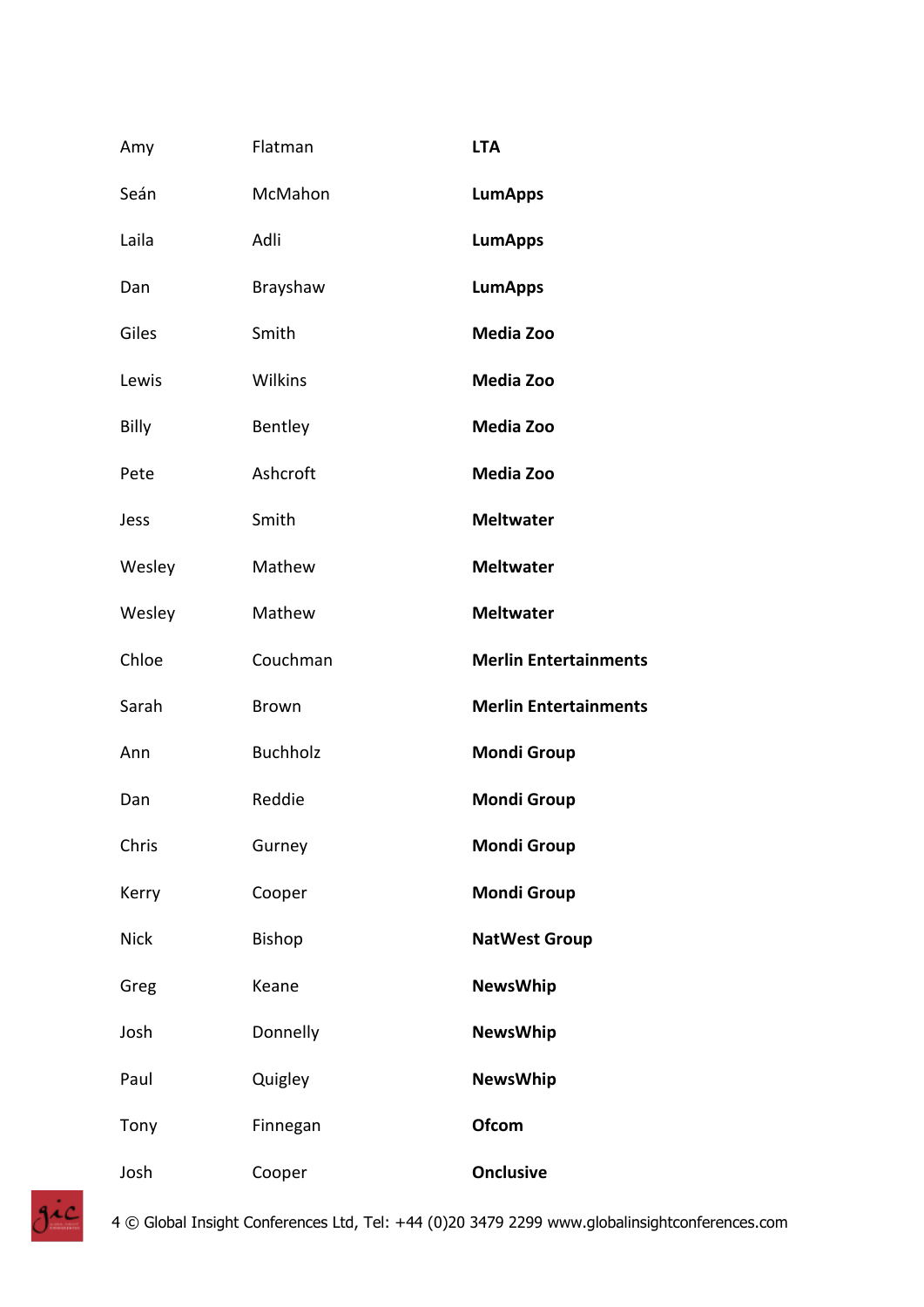| Amy         | Flatman         | <b>LTA</b>                   |
|-------------|-----------------|------------------------------|
| Seán        | McMahon         | <b>LumApps</b>               |
| Laila       | Adli            | <b>LumApps</b>               |
| Dan         | Brayshaw        | <b>LumApps</b>               |
| Giles       | Smith           | Media Zoo                    |
| Lewis       | Wilkins         | Media Zoo                    |
| Billy       | Bentley         | Media Zoo                    |
| Pete        | Ashcroft        | Media Zoo                    |
| Jess        | Smith           | <b>Meltwater</b>             |
| Wesley      | Mathew          | <b>Meltwater</b>             |
| Wesley      | Mathew          | <b>Meltwater</b>             |
| Chloe       | Couchman        | <b>Merlin Entertainments</b> |
| Sarah       | <b>Brown</b>    | <b>Merlin Entertainments</b> |
| Ann         | <b>Buchholz</b> | <b>Mondi Group</b>           |
| Dan         | Reddie          | <b>Mondi Group</b>           |
| Chris       | Gurney          | <b>Mondi Group</b>           |
| Kerry       | Cooper          | <b>Mondi Group</b>           |
| <b>Nick</b> | <b>Bishop</b>   | <b>NatWest Group</b>         |
| Greg        | Keane           | <b>NewsWhip</b>              |
| Josh        | Donnelly        | <b>NewsWhip</b>              |
| Paul        | Quigley         | <b>NewsWhip</b>              |
| Tony        | Finnegan        | <b>Ofcom</b>                 |
| Josh        | Cooper          | <b>Onclusive</b>             |

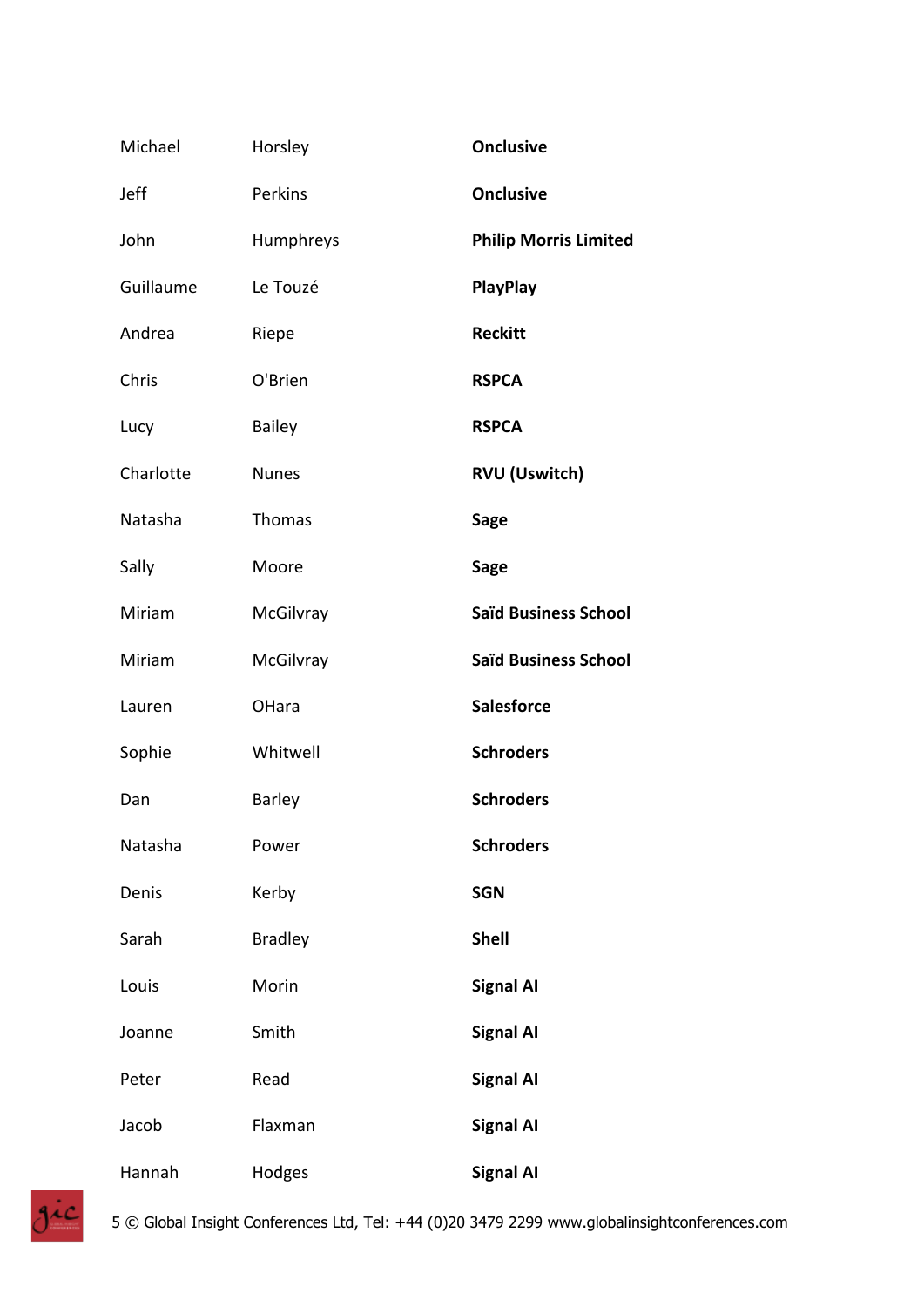| Michael   | Horsley        | <b>Onclusive</b>             |
|-----------|----------------|------------------------------|
| Jeff      | Perkins        | <b>Onclusive</b>             |
| John      | Humphreys      | <b>Philip Morris Limited</b> |
| Guillaume | Le Touzé       | PlayPlay                     |
| Andrea    | Riepe          | <b>Reckitt</b>               |
| Chris     | O'Brien        | <b>RSPCA</b>                 |
| Lucy      | Bailey         | <b>RSPCA</b>                 |
| Charlotte | <b>Nunes</b>   | <b>RVU (Uswitch)</b>         |
| Natasha   | Thomas         | <b>Sage</b>                  |
| Sally     | Moore          | <b>Sage</b>                  |
| Miriam    | McGilvray      | <b>Saïd Business School</b>  |
| Miriam    | McGilvray      | <b>Saïd Business School</b>  |
| Lauren    | OHara          | <b>Salesforce</b>            |
| Sophie    | Whitwell       | <b>Schroders</b>             |
| Dan       | <b>Barley</b>  | <b>Schroders</b>             |
| Natasha   | Power          | <b>Schroders</b>             |
| Denis     | Kerby          | <b>SGN</b>                   |
| Sarah     | <b>Bradley</b> | <b>Shell</b>                 |
| Louis     | Morin          | <b>Signal AI</b>             |
| Joanne    | Smith          | <b>Signal AI</b>             |
| Peter     | Read           | <b>Signal AI</b>             |
| Jacob     | Flaxman        | <b>Signal AI</b>             |
| Hannah    | Hodges         | <b>Signal AI</b>             |

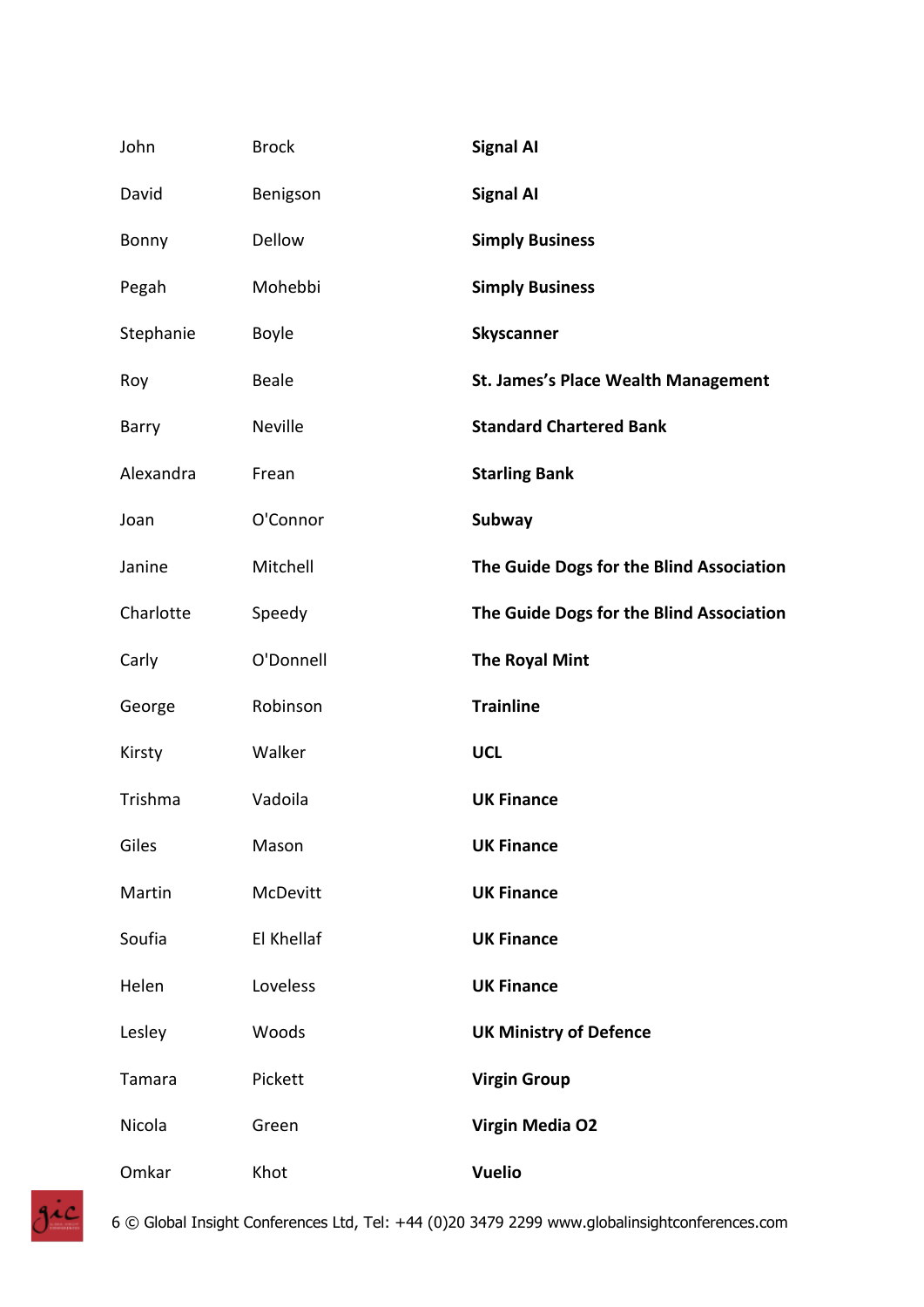| John      | <b>Brock</b>   | <b>Signal AI</b>                           |
|-----------|----------------|--------------------------------------------|
| David     | Benigson       | <b>Signal AI</b>                           |
| Bonny     | Dellow         | <b>Simply Business</b>                     |
| Pegah     | Mohebbi        | <b>Simply Business</b>                     |
| Stephanie | <b>Boyle</b>   | <b>Skyscanner</b>                          |
| Roy       | <b>Beale</b>   | <b>St. James's Place Wealth Management</b> |
| Barry     | <b>Neville</b> | <b>Standard Chartered Bank</b>             |
| Alexandra | Frean          | <b>Starling Bank</b>                       |
| Joan      | O'Connor       | <b>Subway</b>                              |
| Janine    | Mitchell       | The Guide Dogs for the Blind Association   |
| Charlotte | Speedy         | The Guide Dogs for the Blind Association   |
| Carly     | O'Donnell      | <b>The Royal Mint</b>                      |
| George    | Robinson       | <b>Trainline</b>                           |
| Kirsty    | Walker         | <b>UCL</b>                                 |
| Trishma   | Vadoila        | <b>UK Finance</b>                          |
| Giles     | Mason          | <b>UK Finance</b>                          |
| Martin    | McDevitt       | <b>UK Finance</b>                          |
| Soufia    | El Khellaf     | <b>UK Finance</b>                          |
| Helen     | Loveless       | <b>UK Finance</b>                          |
| Lesley    | Woods          | <b>UK Ministry of Defence</b>              |
| Tamara    | Pickett        | <b>Virgin Group</b>                        |
| Nicola    | Green          | <b>Virgin Media O2</b>                     |
| Omkar     | Khot           | <b>Vuelio</b>                              |